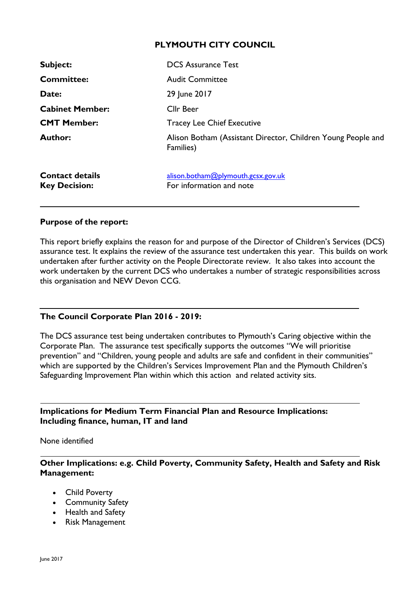## **PLYMOUTH CITY COUNCIL**

| <b>Subject:</b>                                | <b>DCS Assurance Test</b>                                                 |
|------------------------------------------------|---------------------------------------------------------------------------|
| <b>Committee:</b>                              | <b>Audit Committee</b>                                                    |
| Date:                                          | 29 June 2017                                                              |
| <b>Cabinet Member:</b>                         | <b>Cllr Beer</b>                                                          |
| <b>CMT Member:</b>                             | <b>Tracey Lee Chief Executive</b>                                         |
| <b>Author:</b>                                 | Alison Botham (Assistant Director, Children Young People and<br>Families) |
| <b>Contact details</b><br><b>Key Decision:</b> | alison.botham@plymouth.gcsx.gov.uk<br>For information and note            |

#### **Purpose of the report:**

This report briefly explains the reason for and purpose of the Director of Children's Services (DCS) assurance test. It explains the review of the assurance test undertaken this year. This builds on work undertaken after further activity on the People Directorate review. It also takes into account the work undertaken by the current DCS who undertakes a number of strategic responsibilities across this organisation and NEW Devon CCG.

#### **The Council Corporate Plan 2016 - 2019:**

The DCS assurance test being undertaken contributes to Plymouth's Caring objective within the Corporate Plan. The assurance test specifically supports the outcomes "We will prioritise prevention" and "Children, young people and adults are safe and confident in their communities" which are supported by the Children's Services Improvement Plan and the Plymouth Children's Safeguarding Improvement Plan within which this action and related activity sits.

**Implications for Medium Term Financial Plan and Resource Implications: Including finance, human, IT and land**

None identified

**Other Implications: e.g. Child Poverty, Community Safety, Health and Safety and Risk Management:**

- Child Poverty
- Community Safety
- Health and Safety
- Risk Management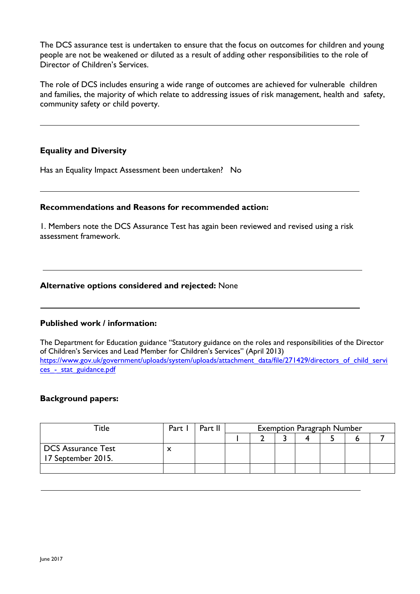The DCS assurance test is undertaken to ensure that the focus on outcomes for children and young people are not be weakened or diluted as a result of adding other responsibilities to the role of Director of Children's Services.

The role of DCS includes ensuring a wide range of outcomes are achieved for vulnerable children and families, the majority of which relate to addressing issues of risk management, health and safety, community safety or child poverty.

## **Equality and Diversity**

Has an Equality Impact Assessment been undertaken? No

#### **Recommendations and Reasons for recommended action:**

1. Members note the DCS Assurance Test has again been reviewed and revised using a risk assessment framework.

#### **Alternative options considered and rejected:** None

#### **Published work / information:**

The Department for Education guidance "Statutory guidance on the roles and responsibilities of the Director of Children's Services and Lead Member for Children's Services" (April 2013) [https://www.gov.uk/government/uploads/system/uploads/attachment\\_data/file/271429/directors\\_of\\_child\\_servi](https://www.gov.uk/government/uploads/system/uploads/attachment_data/file/271429/directors_of_child_services_-_stat_guidance.pdf) ces - stat\_guidance.pdf

#### **Background papers:**

| Title :                                         | Part I | Part II | <b>Exemption Paragraph Number</b> |  |  |  |  |  |  |  |  |
|-------------------------------------------------|--------|---------|-----------------------------------|--|--|--|--|--|--|--|--|
|                                                 |        |         |                                   |  |  |  |  |  |  |  |  |
| <b>DCS Assurance Test</b><br>17 September 2015. |        |         |                                   |  |  |  |  |  |  |  |  |
|                                                 |        |         |                                   |  |  |  |  |  |  |  |  |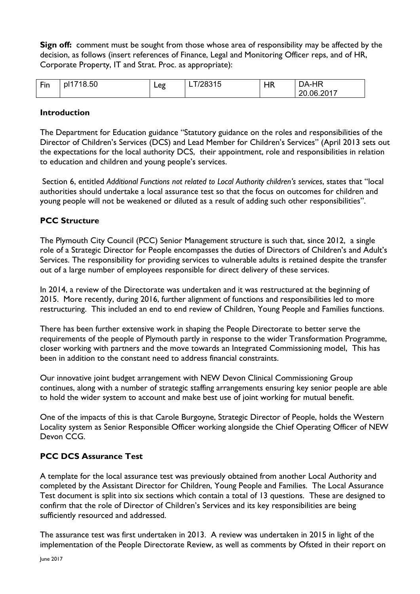**Sign off:** comment must be sought from those whose area of responsibility may be affected by the decision, as follows (insert references of Finance, Legal and Monitoring Officer reps, and of HR, Corporate Property, IT and Strat. Proc. as appropriate):

| 8.50<br>Fin<br>pl1 <sup>-</sup><br>$\mathsf{p}\mathsf{q}$<br>או<br>−∽ວ | ິ<br>. . | ЧR | ._HR<br>$\mathsf{D}\mathsf{A}_-$<br>2017<br>റ്റ<br>ገፍ |
|------------------------------------------------------------------------|----------|----|-------------------------------------------------------|
|------------------------------------------------------------------------|----------|----|-------------------------------------------------------|

## **Introduction**

The Department for Education guidance "Statutory guidance on the roles and responsibilities of the Director of Children's Services (DCS) and Lead Member for Children's Services" (April 2013 sets out the expectations for the local authority DCS, their appointment, role and responsibilities in relation to education and children and young people's services.

Section 6, entitled *Additional Functions not related to Local Authority children's services*, states that "local authorities should undertake a local assurance test so that the focus on outcomes for children and young people will not be weakened or diluted as a result of adding such other responsibilities".

## **PCC Structure**

The Plymouth City Council (PCC) Senior Management structure is such that, since 2012, a single role of a Strategic Director for People encompasses the duties of Directors of Children's and Adult's Services. The responsibility for providing services to vulnerable adults is retained despite the transfer out of a large number of employees responsible for direct delivery of these services.

In 2014, a review of the Directorate was undertaken and it was restructured at the beginning of 2015. More recently, during 2016, further alignment of functions and responsibilities led to more restructuring. This included an end to end review of Children, Young People and Families functions.

There has been further extensive work in shaping the People Directorate to better serve the requirements of the people of Plymouth partly in response to the wider Transformation Programme, closer working with partners and the move towards an Integrated Commissioning model, This has been in addition to the constant need to address financial constraints.

Our innovative joint budget arrangement with NEW Devon Clinical Commissioning Group continues, along with a number of strategic staffing arrangements ensuring key senior people are able to hold the wider system to account and make best use of joint working for mutual benefit.

One of the impacts of this is that Carole Burgoyne, Strategic Director of People, holds the Western Locality system as Senior Responsible Officer working alongside the Chief Operating Officer of NEW Devon CCG.

## **PCC DCS Assurance Test**

A template for the local assurance test was previously obtained from another Local Authority and completed by the Assistant Director for Children, Young People and Families. The Local Assurance Test document is split into six sections which contain a total of 13 questions. These are designed to confirm that the role of Director of Children's Services and its key responsibilities are being sufficiently resourced and addressed.

The assurance test was first undertaken in 2013. A review was undertaken in 2015 in light of the implementation of the People Directorate Review, as well as comments by Ofsted in their report on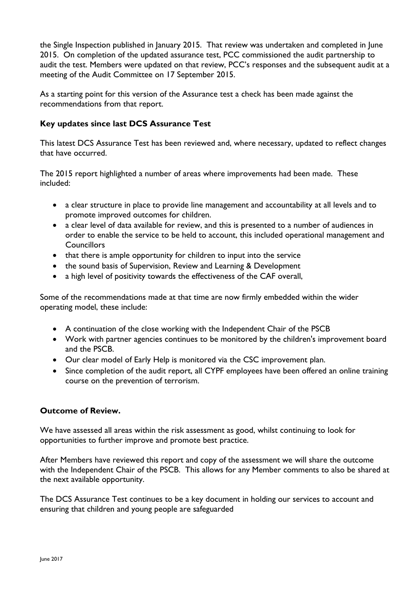the Single Inspection published in January 2015. That review was undertaken and completed in June 2015. On completion of the updated assurance test, PCC commissioned the audit partnership to audit the test. Members were updated on that review, PCC's responses and the subsequent audit at a meeting of the Audit Committee on 17 September 2015.

As a starting point for this version of the Assurance test a check has been made against the recommendations from that report.

## **Key updates since last DCS Assurance Test**

This latest DCS Assurance Test has been reviewed and, where necessary, updated to reflect changes that have occurred.

The 2015 report highlighted a number of areas where improvements had been made. These included:

- a clear structure in place to provide line management and accountability at all levels and to promote improved outcomes for children.
- a clear level of data available for review, and this is presented to a number of audiences in order to enable the service to be held to account, this included operational management and **Councillors**
- that there is ample opportunity for children to input into the service
- the sound basis of Supervision, Review and Learning & Development
- a high level of positivity towards the effectiveness of the CAF overall,

Some of the recommendations made at that time are now firmly embedded within the wider operating model, these include:

- A continuation of the close working with the Independent Chair of the PSCB
- Work with partner agencies continues to be monitored by the children's improvement board and the PSCB.
- Our clear model of Early Help is monitored via the CSC improvement plan.
- Since completion of the audit report, all CYPF employees have been offered an online training course on the prevention of terrorism.

## **Outcome of Review.**

We have assessed all areas within the risk assessment as good, whilst continuing to look for opportunities to further improve and promote best practice.

After Members have reviewed this report and copy of the assessment we will share the outcome with the Independent Chair of the PSCB. This allows for any Member comments to also be shared at the next available opportunity.

The DCS Assurance Test continues to be a key document in holding our services to account and ensuring that children and young people are safeguarded